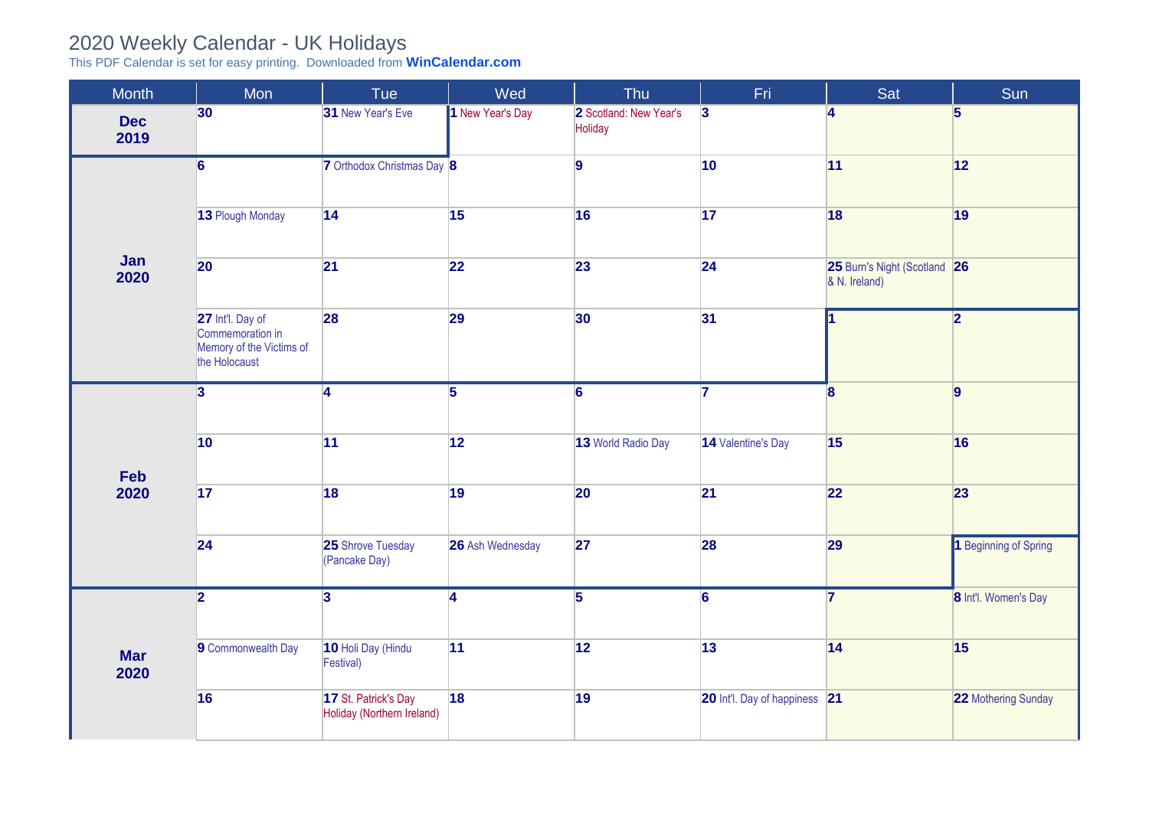## 2020 Weekly Calendar - UK Holidays

This PDF Calendar is set for easy printing. Downloaded from **[WinCalendar.com](https://www.wincalendar.com/2021-Calendar-with-UK-Holidays)**

| <b>Month</b>       | Mon                                                                               | Tue                                                | Wed              | Thu                               | Fri.                          | Sat                                           | Sun                     |
|--------------------|-----------------------------------------------------------------------------------|----------------------------------------------------|------------------|-----------------------------------|-------------------------------|-----------------------------------------------|-------------------------|
| <b>Dec</b><br>2019 | 30 <sup>°</sup>                                                                   | 31 New Year's Eve                                  | 1 New Year's Day | 2 Scotland: New Year's<br>Holiday | $\vert$ 3                     | $\overline{\mathbf{4}}$                       | $\overline{\mathbf{5}}$ |
| Jan<br>2020        | $\overline{6}$                                                                    | 7 Orthodox Christmas Day 8                         |                  | $\overline{9}$                    | 10                            | 11                                            | 12                      |
|                    | 13 Plough Monday                                                                  | 14                                                 | 15               | 16                                | 17                            | 18                                            | 19                      |
|                    | 20                                                                                | 21                                                 | 22               | 23                                | 24                            | 25 Burn's Night (Scotland 26<br>& N. Ireland) |                         |
|                    | 27 Int'l. Day of<br>Commemoration in<br>Memory of the Victims of<br>the Holocaust | 28                                                 | 29               | 30                                | 31                            |                                               | $\overline{2}$          |
| Feb<br>2020        | $\vert$ 3                                                                         | A                                                  | $\overline{5}$   | $6 \,$                            | 7                             | $\overline{\mathbf{8}}$                       | $\overline{9}$          |
|                    | 10                                                                                | 11                                                 | $\boxed{12}$     | 13 World Radio Day                | 14 Valentine's Day            | 15                                            | 16                      |
|                    | 17                                                                                | 18                                                 | 19               | 20                                | 21                            | 22                                            | 23                      |
|                    | 24                                                                                | 25 Shrove Tuesday<br>(Pancake Day)                 | 26 Ash Wednesday | 27                                | 28                            | 29                                            | 1 Beginning of Spring   |
|                    | $\overline{\mathbf{2}}$                                                           | $\overline{3}$                                     | $\overline{4}$   | $\overline{5}$                    | $\overline{6}$                | $\overline{7}$                                | 8 Int'l. Women's Day    |
| <b>Mar</b><br>2020 | 9 Commonwealth Day                                                                | 10 Holi Day (Hindu<br>Festival)                    | 11               | 12                                | 13                            | 14                                            | 15                      |
|                    | 16                                                                                | 17 St. Patrick's Day<br>Holiday (Northern Ireland) | 18               | 19                                | 20 Int'l. Day of happiness 21 |                                               | 22 Mothering Sunday     |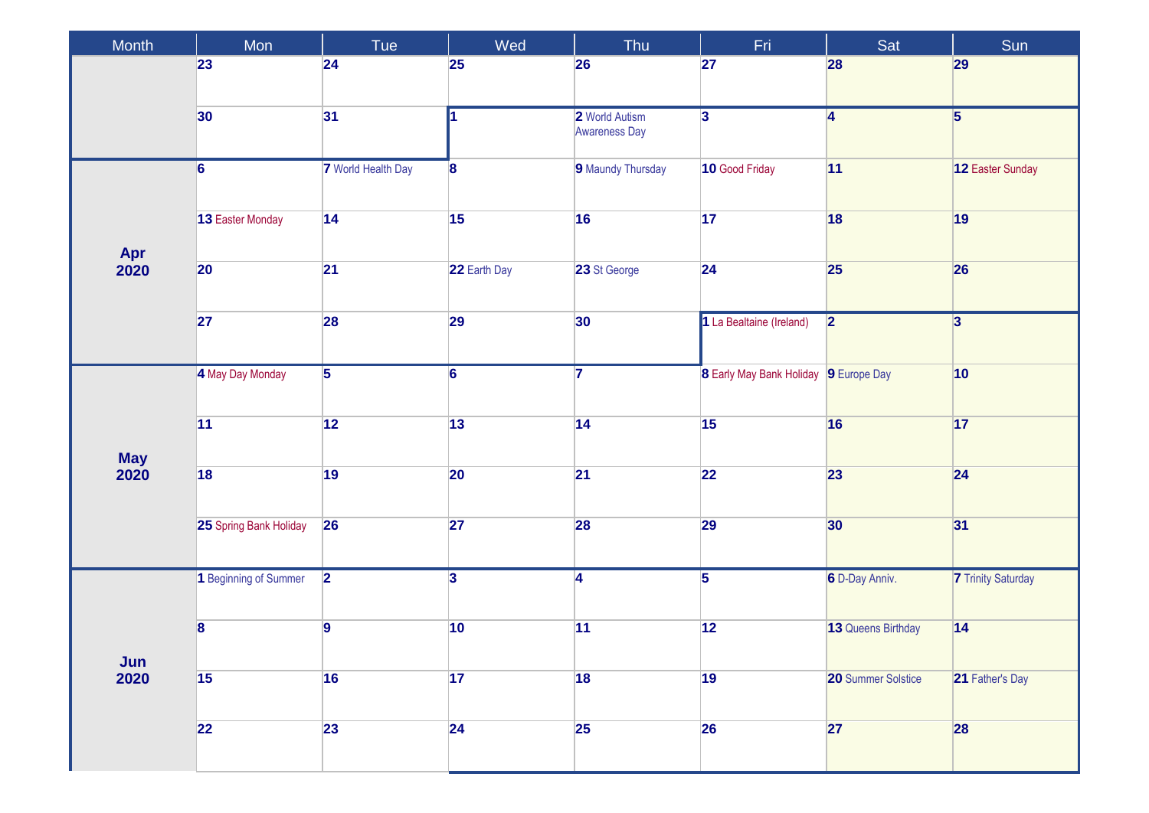| Month              | Mon                    | Tue                       | Wed                     | Thu                                    | Fri.                                  | Sat                       | Sun                       |
|--------------------|------------------------|---------------------------|-------------------------|----------------------------------------|---------------------------------------|---------------------------|---------------------------|
|                    | 23                     | 24                        | <b>25</b>               | 26                                     | 27                                    | 28                        | 29                        |
|                    | 30                     | 31                        | $\mathbf{I}$            | 2 World Autism<br><b>Awareness Day</b> | $\overline{\mathbf{3}}$               | 4                         | $\overline{5}$            |
|                    | $\overline{6}$         | <b>7</b> World Health Day | $\overline{\mathbf{8}}$ | 9 Maundy Thursday                      | 10 Good Friday                        | 11                        | 12 Easter Sunday          |
| Apr                | 13 Easter Monday       | 14                        | 15                      | 16                                     | 17                                    | 18                        | 19                        |
| 2020               | 20                     | 21                        | 22 Earth Day            | 23 St George                           | 24                                    | 25                        | 26                        |
|                    | 27                     | 28                        | 29                      | 30 <sup>°</sup>                        | 1 La Bealtaine (Ireland)              | $\overline{\mathbf{2}}$   | $\overline{3}$            |
|                    | 4 May Day Monday       | $\overline{5}$            | $\overline{6}$          | $\overline{7}$                         | 8 Early May Bank Holiday 9 Europe Day |                           | $ 10\rangle$              |
|                    | 11                     | 12                        | 13                      | 14                                     | 15                                    | 16                        | 17                        |
| <b>May</b><br>2020 | 18                     | 19                        | 20                      | 21                                     | 22                                    | 23                        | 24                        |
|                    | 25 Spring Bank Holiday | 26                        | 27                      | 28                                     | 29                                    | 30                        | 31                        |
| Jun<br>2020        | 1 Beginning of Summer  | $\overline{2}$            | $\overline{3}$          | $\overline{4}$                         | $\overline{5}$                        | 6 D-Day Anniv.            | <b>7</b> Trinity Saturday |
|                    | 8                      | $\overline{9}$            | 10                      | 11                                     | 12                                    | 13 Queens Birthday        | 14                        |
|                    | $\sqrt{15}$            | 16                        | 17                      | 18                                     | 19                                    | <b>20 Summer Solstice</b> | 21 Father's Day           |
|                    | 22                     | 23                        | 24                      | 25                                     | <b>26</b>                             | 27                        | 28                        |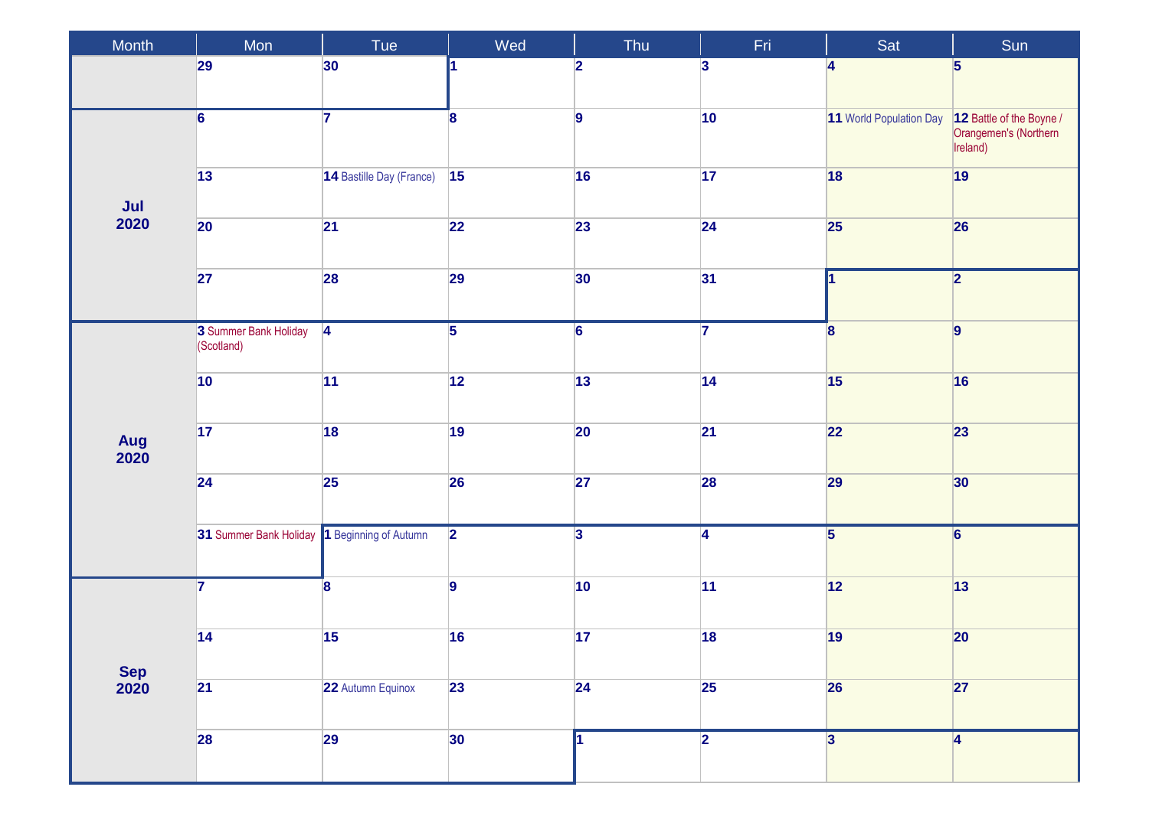| Month                     | Mon                                          | Tue                      | Wed             | Thu                     | Fri                     | Sat                     | Sun                                                           |
|---------------------------|----------------------------------------------|--------------------------|-----------------|-------------------------|-------------------------|-------------------------|---------------------------------------------------------------|
|                           | 29                                           | 30                       |                 | $\overline{\mathbf{2}}$ | $\overline{\mathbf{3}}$ | $\overline{\mathbf{4}}$ | $\overline{\mathbf{5}}$                                       |
|                           | $\overline{6}$                               | $\overline{7}$           | $\bf{8}$        | $\overline{9}$          | $ 10\rangle$            | 11 World Population Day | 12 Battle of the Boyne /<br>Orangemen's (Northern<br>Ireland) |
|                           | $\overline{13}$                              | 14 Bastille Day (France) | 15              | 16                      | 17                      | 18                      | 19                                                            |
| $\frac{\text{Jul}}{2020}$ | $ 20\rangle$                                 | $\overline{21}$          | $\overline{22}$ | 23                      | 24                      | 25                      | 26                                                            |
|                           | 27                                           | 28                       | 29              | 30                      | 31                      | 11                      | $\overline{2}$                                                |
|                           | 3 Summer Bank Holiday<br>(Scotland)          | $\overline{4}$           | $\overline{5}$  | $\overline{6}$          | $\overline{7}$          | $\overline{\mathbf{8}}$ | $\overline{9}$                                                |
|                           | 10                                           | 11                       | 12              | 13                      | 14                      | 15                      | 16                                                            |
| Aug<br>2020               | $\overline{17}$                              | 18                       | 19              | 20                      | 21                      | 22                      | 23                                                            |
|                           | 24                                           | 25                       | 26              | 27                      | 28                      | 29                      | 30                                                            |
|                           | 31 Summer Bank Holiday 1 Beginning of Autumn |                          | $\overline{2}$  | $\overline{\mathbf{3}}$ | $\overline{4}$          | $\overline{\mathbf{5}}$ | $\overline{6}$                                                |
|                           | $\overline{\mathbf{7}}$                      | $\vert$ 8                | $\overline{9}$  | 10                      | 11                      | 12                      | 13                                                            |
| <b>Sep</b><br>2020        | 14                                           | 15                       | 16              | 17                      | 18                      | 19                      | $ 20\rangle$                                                  |
|                           | 21                                           | 22 Autumn Equinox        | 23              | 24                      | <b>25</b>               | 26                      | 27                                                            |
|                           | 28                                           | 29                       | 30 <sub>o</sub> |                         | $\overline{2}$          | $\overline{\mathbf{3}}$ | 4                                                             |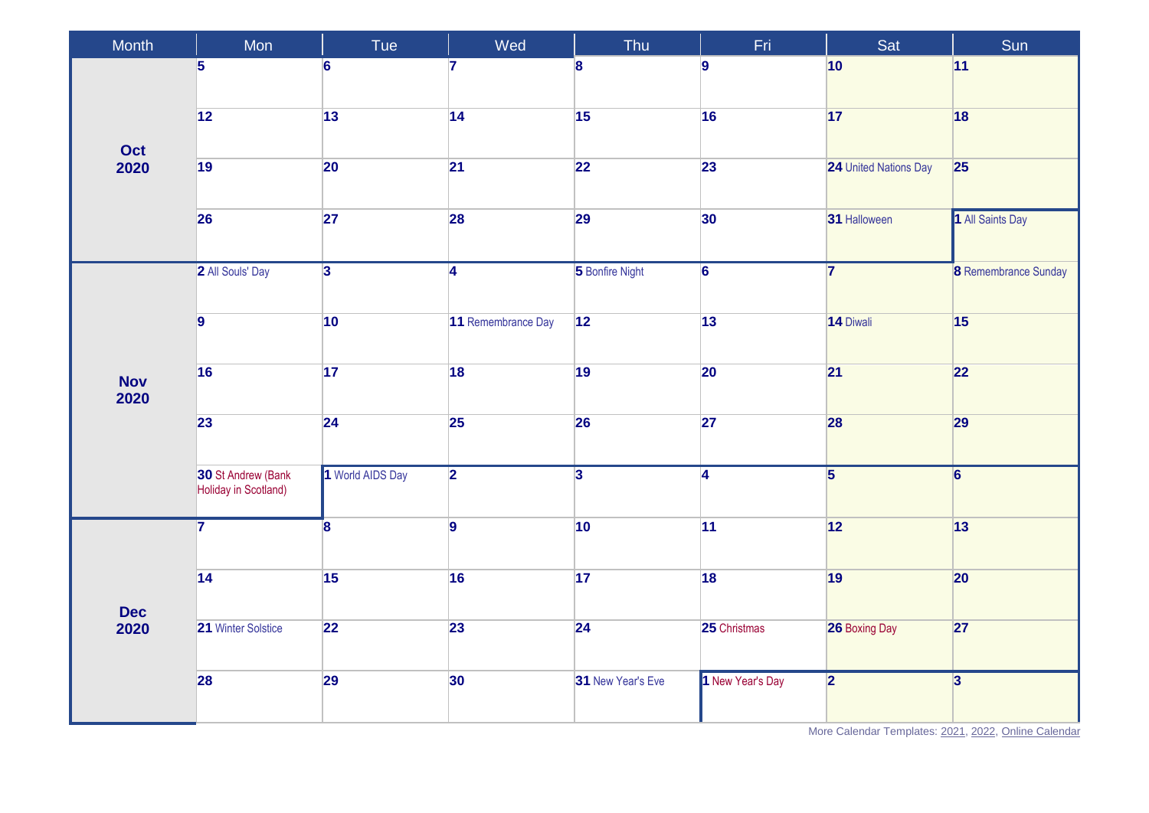| Month              | Mon                                        | Tue                     | Wed                | Thu               | Fri              | Sat                     | Sun                         |
|--------------------|--------------------------------------------|-------------------------|--------------------|-------------------|------------------|-------------------------|-----------------------------|
| Oct<br>2020        | $\overline{\mathbf{5}}$                    | $6\phantom{a}$          | $\overline{7}$     | 8                 | g.               | 10                      | 11                          |
|                    | 12                                         | 13                      | 14                 | 15                | 16               | 17                      | 18                          |
|                    | 19                                         | 20                      | $\overline{21}$    | 22                | 23               | 24 United Nations Day   | 25                          |
|                    | 26                                         | 27                      | <b>28</b>          | 29                | 30               | 31 Halloween            | 1 All Saints Day            |
|                    | 2 All Souls' Day                           | $\overline{3}$          | $\overline{4}$     | 5 Bonfire Night   | $\overline{6}$   | $\overline{7}$          | <b>8</b> Remembrance Sunday |
|                    | $\overline{9}$                             | 10                      | 11 Remembrance Day | 12                | 13               | 14 Diwali               | 15                          |
| <b>Nov</b><br>2020 | 16                                         | 17                      | 18                 | 19                | 20               | 21                      | 22                          |
|                    | 23                                         | 24                      | 25                 | 26                | 27               | 28                      | 29                          |
|                    | 30 St Andrew (Bank<br>Holiday in Scotland) | 1 World AIDS Day        | $\overline{2}$     | $\overline{3}$    | $\overline{4}$   | $\overline{5}$          | $\overline{6}$              |
|                    | $\overline{7}$                             | $\overline{\mathbf{8}}$ | $\overline{9}$     | 10                | 11               | 12                      | 13                          |
| <b>Dec</b><br>2020 | $\overline{14}$                            | 15                      | 16                 | 17                | 18               | 19                      | 20                          |
|                    | 21 Winter Solstice                         | 22                      | 23                 | $\overline{24}$   | 25 Christmas     | 26 Boxing Day           | 27                          |
|                    | 28                                         | 29                      | 30                 | 31 New Year's Eve | 1 New Year's Day | $\overline{\mathbf{2}}$ | $\overline{3}$              |

More Calendar Templates: [2021,](https://www.wincalendar.com/2021-Calendar-with-UK-Holidays) [2022,](https://www.wincalendar.com/2022-Calendar-with-UK-Holidays) [Online Calendar](https://www.wincalendar.com/Calendar-UK/2021)